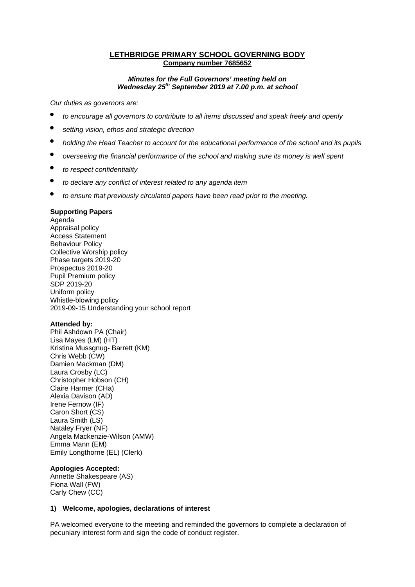#### **LETHBRIDGE PRIMARY SCHOOL GOVERNING BODY Company number 7685652**

#### *Minutes for the Full Governors' meeting held on Wednesday 25th September 2019 at 7.00 p.m. at school*

*Our duties as governors are:* 

- *to encourage all governors to contribute to all items discussed and speak freely and openly*
- *setting vision, ethos and strategic direction*
- *holding the Head Teacher to account for the educational performance of the school and its pupils*
- *overseeing the financial performance of the school and making sure its money is well spent*
- *to respect confidentiality*
- *to declare any conflict of interest related to any agenda item*
- *to ensure that previously circulated papers have been read prior to the meeting.*

#### **Supporting Papers**

Agenda Appraisal policy Access Statement Behaviour Policy Collective Worship policy Phase targets 2019-20 Prospectus 2019-20 Pupil Premium policy SDP 2019-20 Uniform policy Whistle-blowing policy 2019-09-15 Understanding your school report

#### **Attended by:**

Phil Ashdown PA (Chair) Lisa Mayes (LM) (HT) Kristina Mussgnug- Barrett (KM) Chris Webb (CW) Damien Mackman (DM) Laura Crosby (LC) Christopher Hobson (CH) Claire Harmer (CHa) Alexia Davison (AD) Irene Fernow (IF) Caron Short (CS) Laura Smith (LS) Nataley Fryer (NF) Angela Mackenzie-Wilson (AMW) Emma Mann (EM) Emily Longthorne (EL) (Clerk)

## **Apologies Accepted:**

Annette Shakespeare (AS) Fiona Wall (FW) Carly Chew (CC)

#### **1) Welcome, apologies, declarations of interest**

PA welcomed everyone to the meeting and reminded the governors to complete a declaration of pecuniary interest form and sign the code of conduct register.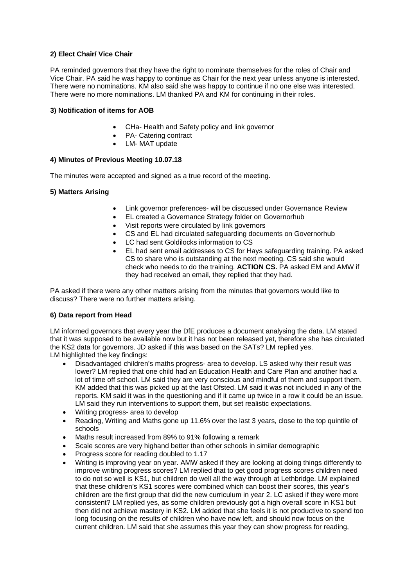## **2) Elect Chair/ Vice Chair**

PA reminded governors that they have the right to nominate themselves for the roles of Chair and Vice Chair. PA said he was happy to continue as Chair for the next year unless anyone is interested. There were no nominations. KM also said she was happy to continue if no one else was interested. There were no more nominations. LM thanked PA and KM for continuing in their roles.

## **3) Notification of items for AOB**

- CHa- Health and Safety policy and link governor
- PA- Catering contract
- LM- MAT update

#### **4) Minutes of Previous Meeting 10.07.18**

The minutes were accepted and signed as a true record of the meeting.

#### **5) Matters Arising**

- Link governor preferences- will be discussed under Governance Review
- EL created a Governance Strategy folder on Governorhub
- Visit reports were circulated by link governors
- CS and EL had circulated safeguarding documents on Governorhub
- LC had sent Goldilocks information to CS
- EL had sent email addresses to CS for Hays safeguarding training. PA asked CS to share who is outstanding at the next meeting. CS said she would check who needs to do the training. **ACTION CS.** PA asked EM and AMW if they had received an email, they replied that they had.

PA asked if there were any other matters arising from the minutes that governors would like to discuss? There were no further matters arising.

#### **6) Data report from Head**

LM informed governors that every year the DfE produces a document analysing the data. LM stated that it was supposed to be available now but it has not been released yet, therefore she has circulated the KS2 data for governors. JD asked if this was based on the SATs? LM replied yes. LM highlighted the key findings:

- Disadvantaged children's maths progress- area to develop. LS asked why their result was lower? LM replied that one child had an Education Health and Care Plan and another had a lot of time off school. LM said they are very conscious and mindful of them and support them. KM added that this was picked up at the last Ofsted. LM said it was not included in any of the reports. KM said it was in the questioning and if it came up twice in a row it could be an issue. LM said they run interventions to support them, but set realistic expectations.
- Writing progress- area to develop
- Reading, Writing and Maths gone up 11.6% over the last 3 years, close to the top quintile of schools
- Maths result increased from 89% to 91% following a remark
- Scale scores are very highand better than other schools in similar demographic
- Progress score for reading doubled to 1.17
- Writing is improving year on year. AMW asked if they are looking at doing things differently to improve writing progress scores? LM replied that to get good progress scores children need to do not so well is KS1, but children do well all the way through at Lethbridge. LM explained that these children's KS1 scores were combined which can boost their scores, this year's children are the first group that did the new curriculum in year 2. LC asked if they were more consistent? LM replied yes, as some children previously got a high overall score in KS1 but then did not achieve mastery in KS2. LM added that she feels it is not productive to spend too long focusing on the results of children who have now left, and should now focus on the current children. LM said that she assumes this year they can show progress for reading,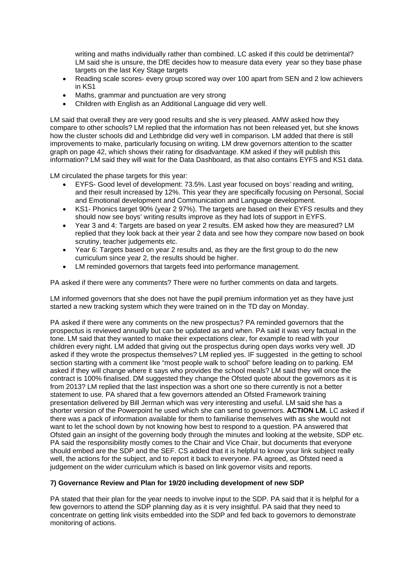writing and maths individually rather than combined. LC asked if this could be detrimental? LM said she is unsure, the DfE decides how to measure data every year so they base phase targets on the last Key Stage targets

- Reading scale scores- every group scored way over 100 apart from SEN and 2 low achievers in KS1
- Maths, grammar and punctuation are very strong
- Children with English as an Additional Language did very well.

LM said that overall they are very good results and she is very pleased. AMW asked how they compare to other schools? LM replied that the information has not been released yet, but she knows how the cluster schools did and Lethbridge did very well in comparison. LM added that there is still improvements to make, particularly focusing on writing. LM drew governors attention to the scatter graph on page 42, which shows their rating for disadvantage. KM asked if they will publish this information? LM said they will wait for the Data Dashboard, as that also contains EYFS and KS1 data.

LM circulated the phase targets for this year:

- EYFS- Good level of development: 73.5%. Last year focused on boys' reading and writing, and their result increased by 12%. This year they are specifically focusing on Personal, Social and Emotional development and Communication and Language development.
- KS1- Phonics target 90% (year 2 97%). The targets are based on their EYFS results and they should now see boys' writing results improve as they had lots of support in EYFS.
- Year 3 and 4: Targets are based on year 2 results. EM asked how they are measured? LM replied that they look back at their year 2 data and see how they compare now based on book scrutiny, teacher judgements etc.
- Year 6: Targets based on year 2 results and, as they are the first group to do the new curriculum since year 2, the results should be higher.
- LM reminded governors that targets feed into performance management.

PA asked if there were any comments? There were no further comments on data and targets.

LM informed governors that she does not have the pupil premium information yet as they have just started a new tracking system which they were trained on in the TD day on Monday.

PA asked if there were any comments on the new prospectus? PA reminded governors that the prospectus is reviewed annually but can be updated as and when. PA said it was very factual in the tone. LM said that they wanted to make their expectations clear, for example to read with your children every night. LM added that giving out the prospectus during open days works very well. JD asked if they wrote the prospectus themselves? LM replied yes. IF suggested in the getting to school section starting with a comment like "most people walk to school" before leading on to parking. EM asked if they will change where it says who provides the school meals? LM said they will once the contract is 100% finalised. DM suggested they change the Ofsted quote about the governors as it is from 2013? LM replied that the last inspection was a short one so there currently is not a better statement to use. PA shared that a few governors attended an Ofsted Framework training presentation delivered by Bill Jerman which was very interesting and useful. LM said she has a shorter version of the Powerpoint he used which she can send to governors. **ACTION LM.** LC asked if there was a pack of information available for them to familiarise themselves with as she would not want to let the school down by not knowing how best to respond to a question. PA answered that Ofsted gain an insight of the governing body through the minutes and looking at the website, SDP etc. PA said the responsibility mostly comes to the Chair and Vice Chair, but documents that everyone should embed are the SDP and the SEF. CS added that it is helpful to know your link subject really well, the actions for the subject, and to report it back to everyone. PA agreed, as Ofsted need a judgement on the wider curriculum which is based on link governor visits and reports.

## **7) Governance Review and Plan for 19/20 including development of new SDP**

PA stated that their plan for the year needs to involve input to the SDP. PA said that it is helpful for a few governors to attend the SDP planning day as it is very insightful. PA said that they need to concentrate on getting link visits embedded into the SDP and fed back to governors to demonstrate monitoring of actions.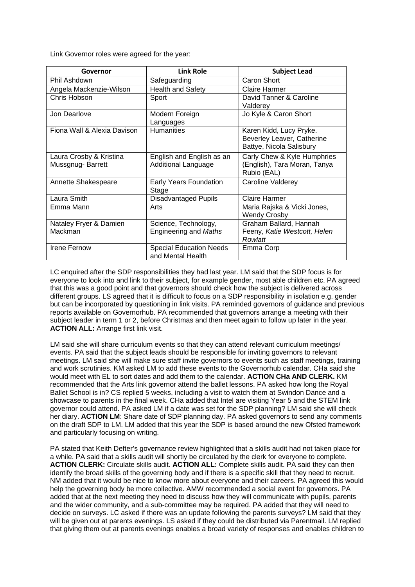Link Governor roles were agreed for the year:

| Governor                                    | <b>Link Role</b>                                    | <b>Subject Lead</b>                                                               |
|---------------------------------------------|-----------------------------------------------------|-----------------------------------------------------------------------------------|
| Phil Ashdown                                | Safeguarding                                        | Caron Short                                                                       |
| Angela Mackenzie-Wilson                     | <b>Health and Safety</b>                            | Claire Harmer                                                                     |
| Chris Hobson                                | Sport                                               | David Tanner & Caroline<br>Valderey                                               |
| Jon Dearlove                                | Modern Foreign<br>Languages                         | Jo Kyle & Caron Short                                                             |
| Fiona Wall & Alexia Davison                 | <b>Humanities</b>                                   | Karen Kidd, Lucy Pryke.<br>Beverley Leaver, Catherine<br>Battye, Nicola Salisbury |
| Laura Crosby & Kristina<br>Mussgnug-Barrett | English and English as an<br>Additional Language    | Carly Chew & Kyle Humphries<br>(English), Tara Moran, Tanya<br>Rubio (EAL)        |
| Annette Shakespeare                         | Early Years Foundation<br>Stage                     | Caroline Valderey                                                                 |
| Laura Smith                                 | <b>Disadvantaged Pupils</b>                         | Claire Harmer                                                                     |
| Emma Mann                                   | Arts                                                | Maria Rajska & Vicki Jones,<br><b>Wendy Crosby</b>                                |
| Nataley Fryer & Damien                      | Science, Technology,                                | Graham Ballard, Hannah                                                            |
| Mackman                                     | <b>Engineering and Maths</b>                        | Feeny, Katie Westcott, Helen<br>Rowlatt                                           |
| <b>Irene Fernow</b>                         | <b>Special Education Needs</b><br>and Mental Health | Emma Corp                                                                         |

LC enquired after the SDP responsibilities they had last year. LM said that the SDP focus is for everyone to look into and link to their subject, for example gender, most able children etc. PA agreed that this was a good point and that governors should check how the subject is delivered across different groups. LS agreed that it is difficult to focus on a SDP responsibility in isolation e.g. gender but can be incorporated by questioning in link visits. PA reminded governors of guidance and previous reports available on Governorhub. PA recommended that governors arrange a meeting with their subject leader in term 1 or 2, before Christmas and then meet again to follow up later in the year. **ACTION ALL:** Arrange first link visit.

LM said she will share curriculum events so that they can attend relevant curriculum meetings/ events. PA said that the subject leads should be responsible for inviting governors to relevant meetings. LM said she will make sure staff invite governors to events such as staff meetings, training and work scrutinies. KM asked LM to add these events to the Governorhub calendar. CHa said she would meet with EL to sort dates and add them to the calendar. **ACTION CHa AND CLERK.** KM recommended that the Arts link governor attend the ballet lessons. PA asked how long the Royal Ballet School is in? CS replied 5 weeks, including a visit to watch them at Swindon Dance and a showcase to parents in the final week. CHa added that Intel are visiting Year 5 and the STEM link governor could attend. PA asked LM if a date was set for the SDP planning? LM said she will check her diary. **ACTION LM**: Share date of SDP planning day. PA asked governors to send any comments on the draft SDP to LM. LM added that this year the SDP is based around the new Ofsted framework and particularly focusing on writing.

PA stated that Keith Defter's governance review highlighted that a skills audit had not taken place for a while. PA said that a skills audit will shortly be circulated by the clerk for everyone to complete. **ACTION CLERK:** Circulate skills audit. **ACTION ALL:** Complete skills audit. PA said they can then identify the broad skills of the governing body and if there is a specific skill that they need to recruit. NM added that it would be nice to know more about everyone and their careers. PA agreed this would help the governing body be more collective. AMW recommended a social event for governors. PA added that at the next meeting they need to discuss how they will communicate with pupils, parents and the wider community, and a sub-committee may be required. PA added that they will need to decide on surveys. LC asked if there was an update following the parents surveys? LM said that they will be given out at parents evenings. LS asked if they could be distributed via Parentmail. LM replied that giving them out at parents evenings enables a broad variety of responses and enables children to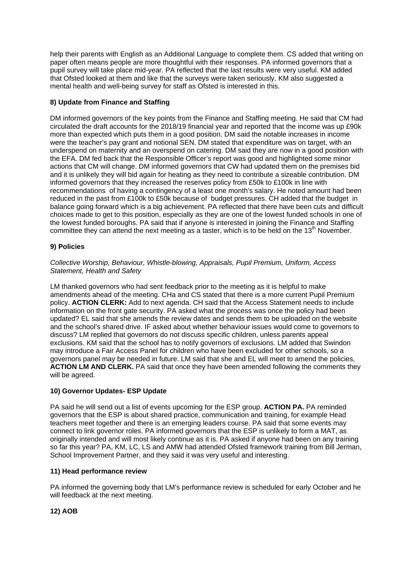help their parents with English as an Additional Language to complete them. CS added that writing on paper often means people are more thoughtful with their responses. PA informed governors that a pupil survey will take place mid-year. PA reflected that the last results were very useful. KM added that Ofsted looked at them and like that the surveys were taken seriously. KM also suggested a mental health and well-being survey for staff as Ofsted is interested in this.

# **8) Update from Finance and Staffing**

DM informed governors of the key points from the Finance and Staffing meeting. He said that CM had circulated the draft accounts for the 2018/19 financial year and reported that the income was up £90k more than expected which puts them in a good position. DM said the notable increases in income were the teacher's pay grant and notional SEN. DM stated that expenditure was on target, with an underspend on maternity and an overspend on catering. DM said they are now in a good position with the EFA. DM fed back that the Responsible Officer's report was good and highlighted some minor actions that CM will change. DM informed governors that CW had updated them on the premises bid and it is unlikely they will bid again for heating as they need to contribute a sizeable contribution. DM informed governors that they increased the reserves policy from £50k to £100k in line with recommendations of having a contingency of a least one month's salary. He noted amount had been reduced in the past from £100k to £50k because of budget pressures. CH added that the budget in balance going forward which is a big achievement. PA reflected that there have been cuts and difficult choices made to get to this position, especially as they are one of the lowest funded schools in one of the lowest funded boroughs. PA said that if anyone is interested in joining the Finance and Staffing committee they can attend the next meeting as a taster, which is to be held on the 13<sup>th</sup> November.

# **9) Policies**

#### *Collective Worship, Behaviour, Whistle-blowing, Appraisals, Pupil Premium, Uniform, Access Statement, Health and Safety*

LM thanked governors who had sent feedback prior to the meeting as it is helpful to make amendments ahead of the meeting. CHa and CS stated that there is a more current Pupil Premium policy. **ACTION CLERK:** Add to next agenda. CH said that the Access Statement needs to include information on the front gate security. PA asked what the process was once the policy had been updated? EL said that she amends the review dates and sends them to be uploaded on the website and the school's shared drive. IF asked about whether behaviour issues would come to governors to discuss? LM replied that governors do not discuss specific children, unless parents appeal exclusions. KM said that the school has to notify governors of exclusions. LM added that Swindon may introduce a Fair Access Panel for children who have been excluded for other schools, so a governors panel may be needed in future. LM said that she and EL will meet to amend the policies, **ACTION LM AND CLERK.** PA said that once they have been amended following the comments they will be agreed.

## **10) Governor Updates- ESP Update**

PA said he will send out a list of events upcoming for the ESP group. **ACTION PA.** PA reminded governors that the ESP is about shared practice, communication and training, for example Head teachers meet together and there is an emerging leaders course. PA said that some events may connect to link governor roles. PA informed governors that the ESP is unlikely to form a MAT, as originally intended and will most likely continue as it is. PA asked if anyone had been on any training so far this year? PA, KM, LC, LS and AMW had attended Ofsted framework training from Bill Jerman, School Improvement Partner, and they said it was very useful and interesting.

## **11) Head performance review**

PA informed the governing body that LM's performance review is scheduled for early October and he will feedback at the next meeting.

## **12) AOB**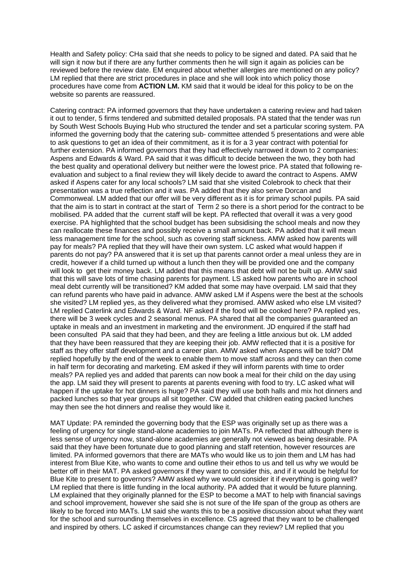Health and Safety policy: CHa said that she needs to policy to be signed and dated. PA said that he will sign it now but if there are any further comments then he will sign it again as policies can be reviewed before the review date. EM enquired about whether allergies are mentioned on any policy? LM replied that there are strict procedures in place and she will look into which policy those procedures have come from **ACTION LM.** KM said that it would be ideal for this policy to be on the website so parents are reassured.

Catering contract: PA informed governors that they have undertaken a catering review and had taken it out to tender, 5 firms tendered and submitted detailed proposals. PA stated that the tender was run by South West Schools Buying Hub who structured the tender and set a particular scoring system. PA informed the governing body that the catering sub- committee attended 5 presentations and were able to ask questions to get an idea of their commitment, as it is for a 3 year contract with potential for further extension. PA informed governors that they had effectively narrowed it down to 2 companies: Aspens and Edwards & Ward. PA said that it was difficult to decide between the two, they both had the best quality and operational delivery but neither were the lowest price. PA stated that following reevaluation and subject to a final review they will likely decide to award the contract to Aspens. AMW asked if Aspens cater for any local schools? LM said that she visited Colebrook to check that their presentation was a true reflection and it was. PA added that they also serve Dorcan and Commonweal. LM added that our offer will be very different as it is for primary school pupils. PA said that the aim is to start in contract at the start of Term 2 so there is a short period for the contract to be mobilised. PA added that the current staff will be kept. PA reflected that overall it was a very good exercise. PA highlighted that the school budget has been subsidising the school meals and now they can reallocate these finances and possibly receive a small amount back. PA added that it will mean less management time for the school, such as covering staff sickness. AMW asked how parents will pay for meals? PA replied that they will have their own system. LC asked what would happen if parents do not pay? PA answered that it is set up that parents cannot order a meal unless they are in credit, however if a child turned up without a lunch then they will be provided one and the company will look to get their money back. LM added that this means that debt will not be built up. AMW said that this will save lots of time chasing parents for payment. LS asked how parents who are in school meal debt currently will be transitioned? KM added that some may have overpaid. LM said that they can refund parents who have paid in advance. AMW asked LM if Aspens were the best at the schools she visited? LM replied yes, as they delivered what they promised. AMW asked who else LM visited? LM replied Caterlink and Edwards & Ward. NF asked if the food will be cooked here? PA replied yes, there will be 3 week cycles and 2 seasonal menus. PA shared that all the companies guaranteed an uptake in meals and an investment in marketing and the environment. JD enquired if the staff had been consulted PA said that they had been, and they are feeling a little anxious but ok. LM added that they have been reassured that they are keeping their job. AMW reflected that it is a positive for staff as they offer staff development and a career plan. AMW asked when Aspens will be told? DM replied hopefully by the end of the week to enable them to move staff across and they can then come in half term for decorating and marketing. EM asked if they will inform parents with time to order meals? PA replied yes and added that parents can now book a meal for their child on the day using the app. LM said they will present to parents at parents evening with food to try. LC asked what will happen if the uptake for hot dinners is huge? PA said they will use both halls and mix hot dinners and packed lunches so that year groups all sit together. CW added that children eating packed lunches may then see the hot dinners and realise they would like it.

MAT Update: PA reminded the governing body that the ESP was originally set up as there was a feeling of urgency for single stand-alone academies to join MATs. PA reflected that although there is less sense of urgency now, stand-alone academies are generally not viewed as being desirable. PA said that they have been fortunate due to good planning and staff retention, however resources are limited. PA informed governors that there are MATs who would like us to join them and LM has had interest from Blue Kite, who wants to come and outline their ethos to us and tell us why we would be better off in their MAT. PA asked governors if they want to consider this, and if it would be helpful for Blue Kite to present to governors? AMW asked why we would consider it if everything is going well? LM replied that there is little funding in the local authority. PA added that it would be future planning. LM explained that they originally planned for the ESP to become a MAT to help with financial savings and school improvement, however she said she is not sure of the life span of the group as others are likely to be forced into MATs. LM said she wants this to be a positive discussion about what they want for the school and surrounding themselves in excellence. CS agreed that they want to be challenged and inspired by others. LC asked if circumstances change can they review? LM replied that you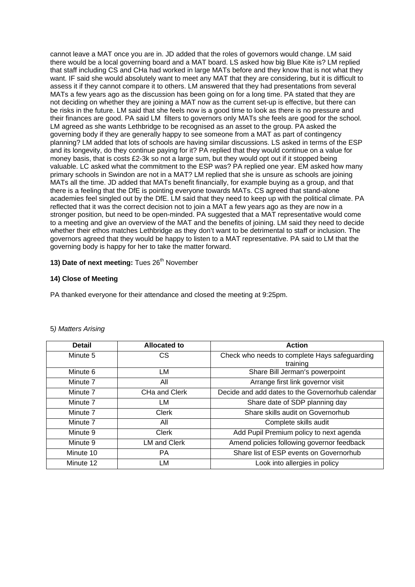cannot leave a MAT once you are in. JD added that the roles of governors would change. LM said there would be a local governing board and a MAT board. LS asked how big Blue Kite is? LM replied that staff including CS and CHa had worked in large MATs before and they know that is not what they want. IF said she would absolutely want to meet any MAT that they are considering, but it is difficult to assess it if they cannot compare it to others. LM answered that they had presentations from several MATs a few years ago as the discussion has been going on for a long time. PA stated that they are not deciding on whether they are joining a MAT now as the current set-up is effective, but there can be risks in the future. LM said that she feels now is a good time to look as there is no pressure and their finances are good. PA said LM filters to governors only MATs she feels are good for the school. LM agreed as she wants Lethbridge to be recognised as an asset to the group. PA asked the governing body if they are generally happy to see someone from a MAT as part of contingency planning? LM added that lots of schools are having similar discussions. LS asked in terms of the ESP and its longevity, do they continue paying for it? PA replied that they would continue on a value for money basis, that is costs £2-3k so not a large sum, but they would opt out if it stopped being valuable. LC asked what the commitment to the ESP was? PA replied one year. EM asked how many primary schools in Swindon are not in a MAT? LM replied that she is unsure as schools are joining MATs all the time. JD added that MATs benefit financially, for example buying as a group, and that there is a feeling that the DfE is pointing everyone towards MATs. CS agreed that stand-alone academies feel singled out by the DfE. LM said that they need to keep up with the political climate. PA reflected that it was the correct decision not to join a MAT a few years ago as they are now in a stronger position, but need to be open-minded. PA suggested that a MAT representative would come to a meeting and give an overview of the MAT and the benefits of joining. LM said they need to decide whether their ethos matches Lethbridge as they don't want to be detrimental to staff or inclusion. The governors agreed that they would be happy to listen to a MAT representative. PA said to LM that the governing body is happy for her to take the matter forward.

# **13) Date of next meeting:** Tues 26<sup>th</sup> November

# **14) Close of Meeting**

PA thanked everyone for their attendance and closed the meeting at 9:25pm.

| <b>Detail</b> | Allocated to  | <b>Action</b>                                             |
|---------------|---------------|-----------------------------------------------------------|
| Minute 5      | СS            | Check who needs to complete Hays safeguarding<br>training |
| Minute 6      | LM            | Share Bill Jerman's powerpoint                            |
| Minute 7      | All           | Arrange first link governor visit                         |
| Minute 7      | CHa and Clerk | Decide and add dates to the Governorhub calendar          |
| Minute 7      | LM            | Share date of SDP planning day                            |
| Minute 7      | Clerk         | Share skills audit on Governorhub                         |
| Minute 7      | All           | Complete skills audit                                     |
| Minute 9      | Clerk         | Add Pupil Premium policy to next agenda                   |
| Minute 9      | LM and Clerk  | Amend policies following governor feedback                |
| Minute 10     | РA            | Share list of ESP events on Governorhub                   |
| Minute 12     | LM            | Look into allergies in policy                             |

## 5*) Matters Arising*